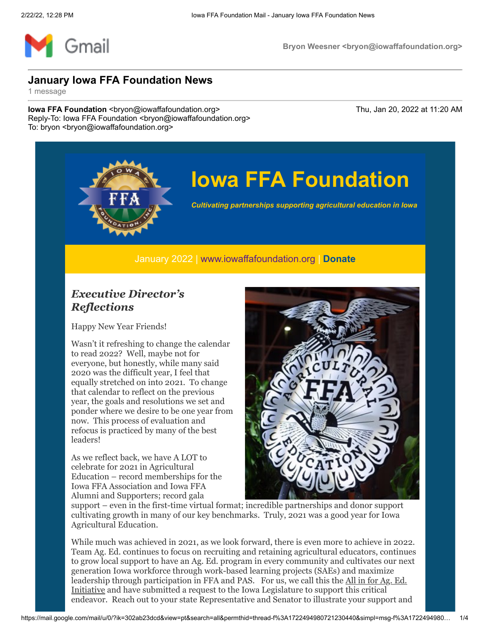

# **Iowa FFA Foundation**

*Cultivating partnerships supporting agricultural education in Iowa*

January 2022 | [www.iowaffafoundation.org](http://www.iowaffafoundation.org/) | **[Donate](https://eml-pusa01.app.blackbaud.net/intv2/j/09BAEE05-197F-4E41-988F-1E35CE52AA0E/r/09BAEE05-197F-4E41-988F-1E35CE52AA0E_5946e914-5a5b-48f7-8093-657e0551e614/l/2E022BC3-250D-4445-B457-3004B8D449E2/c)**

#### *Executive Director's Reflections*

Happy New Year Friends!

Wasn't it refreshing to change the calendar to read 2022? Well, maybe not for everyone, but honestly, while many said 2020 was the difficult year, I feel that equally stretched on into 2021. To change that calendar to reflect on the previous year, the goals and resolutions we set and ponder where we desire to be one year from now. This process of evaluation and refocus is practiced by many of the best leaders!

As we reflect back, we have A LOT to celebrate for 2021 in Agricultural Education – record memberships for the Iowa FFA Association and Iowa FFA Alumni and Supporters; record gala



support – even in the first-time virtual format; incredible partnerships and donor support cultivating growth in many of our key benchmarks. Truly, 2021 was a good year for Iowa Agricultural Education.

While much was achieved in 2021, as we look forward, there is even more to achieve in 2022. Team Ag. Ed. continues to focus on recruiting and retaining agricultural educators, continues to grow local support to have an Ag. Ed. program in every community and cultivates our next generation Iowa workforce through work-based learning projects (SAEs) and maximize leadership through participation in FFA and PAS. For us, we call this the All in for Ag. Ed. Initiative and have submitted a request to the Iowa Legislature to support this critical endeavor. Reach out to your state Representative and Senator to illustrate your support and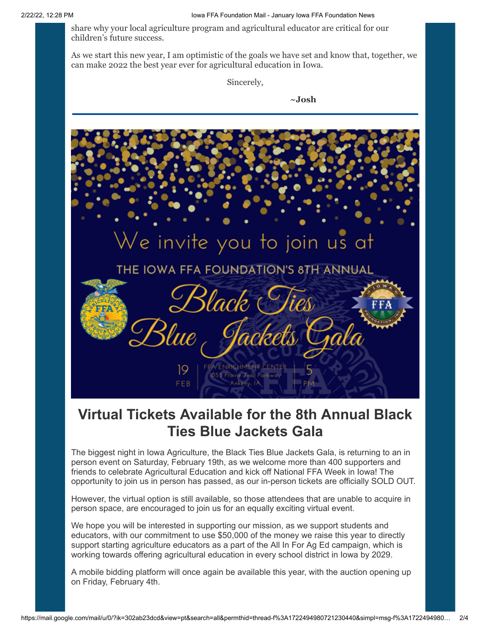share why your local agriculture program and agricultural educator are critical for our children's future success.

As we start this new year, I am optimistic of the goals we have set and know that, together, we can make 2022 the best year ever for agricultural education in Iowa.

Sincerely,

**~Josh**



### **Virtual Tickets Available for the 8th Annual Black Ties Blue Jackets Gala**

The biggest night in Iowa Agriculture, the Black Ties Blue Jackets Gala, is returning to an in person event on Saturday, February 19th, as we welcome more than 400 supporters and friends to celebrate Agricultural Education and kick off National FFA Week in Iowa! The opportunity to join us in person has passed, as our in-person tickets are officially SOLD OUT.

However, the virtual option is still available, so those attendees that are unable to acquire in person space, are encouraged to join us for an equally exciting virtual event.

We hope you will be interested in supporting our mission, as we support students and educators, with our commitment to use \$50,000 of the money we raise this year to directly support starting agriculture educators as a part of the All In For Ag Ed campaign, which is working towards offering agricultural education in every school district in Iowa by 2029.

A mobile bidding platform will once again be available this year, with the auction opening up on Friday, February 4th.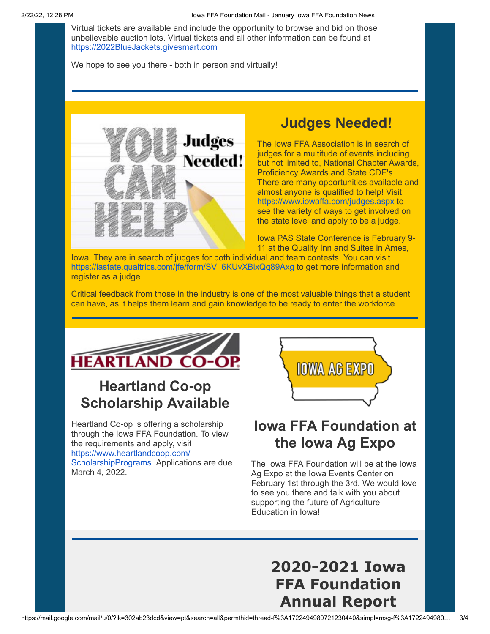Virtual tickets are available and include the opportunity to browse and bid on those unbelievable auction lots. Virtual tickets and all other information can be found at [https://2022BlueJackets.givesmart.com](https://eml-pusa01.app.blackbaud.net/intv2/j/09BAEE05-197F-4E41-988F-1E35CE52AA0E/r/09BAEE05-197F-4E41-988F-1E35CE52AA0E_5946e914-5a5b-48f7-8093-657e0551e614/l/18571D4E-932F-417D-AD5F-151E57C5E01F/c)

We hope to see you there - both in person and virtually!



#### **Judges Needed!**

The Iowa FFA Association is in search of judges for a multitude of events including but not limited to, National Chapter Awards, Proficiency Awards and State CDE's. There are many opportunities available and almost anyone is qualified to help! Visit [https://www.iowaffa.com/judges.aspx](https://eml-pusa01.app.blackbaud.net/intv2/j/09BAEE05-197F-4E41-988F-1E35CE52AA0E/r/09BAEE05-197F-4E41-988F-1E35CE52AA0E_5946e914-5a5b-48f7-8093-657e0551e614/l/6452D9EF-2297-4C3B-87CB-62BF251F583A/c) to see the variety of ways to get involved on the state level and apply to be a judge.

Iowa PAS State Conference is February 9- 11 at the Quality Inn and Suites in Ames,

Iowa. They are in search of judges for both individual and team contests. You can visit [https://iastate.qualtrics.com/jfe/form/SV\\_6KUvXBixQq89Axg](https://eml-pusa01.app.blackbaud.net/intv2/j/09BAEE05-197F-4E41-988F-1E35CE52AA0E/r/09BAEE05-197F-4E41-988F-1E35CE52AA0E_5946e914-5a5b-48f7-8093-657e0551e614/l/3A5F9669-05B1-462C-80DC-7562A699C894/c) to get more information and register as a judge.

Critical feedback from those in the industry is one of the most valuable things that a student can have, as it helps them learn and gain knowledge to be ready to enter the workforce.



## **Heartland Co-op Scholarship Available**

Heartland Co-op is offering a scholarship through the Iowa FFA Foundation. To view the requirements and apply, visit [https://www.heartlandcoop.com/](https://eml-pusa01.app.blackbaud.net/intv2/j/09BAEE05-197F-4E41-988F-1E35CE52AA0E/r/09BAEE05-197F-4E41-988F-1E35CE52AA0E_5946e914-5a5b-48f7-8093-657e0551e614/l/EB237352-DB5B-40B2-B21A-A4B42585872F/c) ScholarshipPrograms. Applications are due March 4, 2022.



### **Iowa FFA Foundation at the Iowa Ag Expo**

The Iowa FFA Foundation will be at the Iowa Ag Expo at the Iowa Events Center on February 1st through the 3rd. We would love to see you there and talk with you about supporting the future of Agriculture Education in Iowa!

> **2020-2021 Iowa FFA Foundation Annual Report**